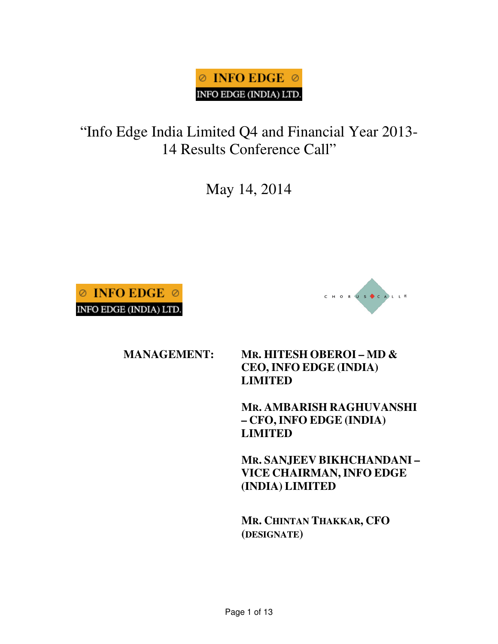# $\odot$  INFO EDGE  $\odot$ INFO EDGE (INDIA) LTD.

"Info Edge India Limited Q4 and Financial Year 2013- 14 Results Conference Call"

May 14, 2014





### **MANAGEMENT: MR. HITESH OBEROI – MD & CEO, INFO EDGE (INDIA) LIMITED**

**MR. AMBARISH RAGHUVANSHI – CFO,INFO EDGE (INDIA) LIMITED** 

**MR. SANJEEV BIKHCHANDANI – VICE CHAIRMAN, INFO EDGE (INDIA) LIMITED** 

**MR. CHINTAN THAKKAR, CFO (DESIGNATE)**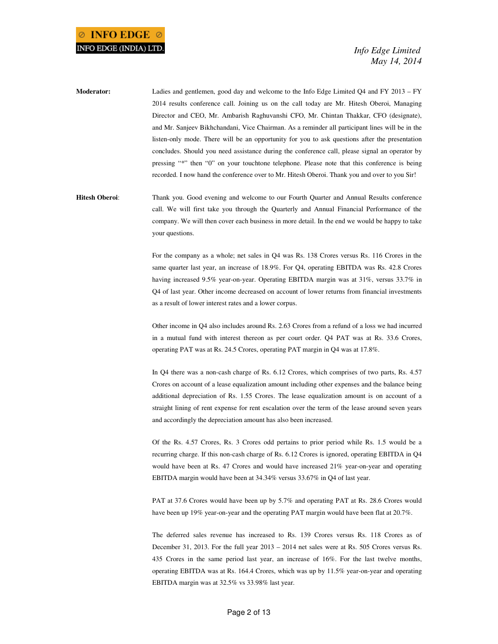**Moderator:** Ladies and gentlemen, good day and welcome to the Info Edge Limited Q4 and FY 2013 – FY 2014 results conference call. Joining us on the call today are Mr. Hitesh Oberoi, Managing Director and CEO, Mr. Ambarish Raghuvanshi CFO, Mr. Chintan Thakkar, CFO (designate), and Mr. Sanjeev Bikhchandani, Vice Chairman. As a reminder all participant lines will be in the listen-only mode. There will be an opportunity for you to ask questions after the presentation concludes. Should you need assistance during the conference call, please signal an operator by pressing "\*" then "0" on your touchtone telephone. Please note that this conference is being recorded. I now hand the conference over to Mr. Hitesh Oberoi. Thank you and over to you Sir!

**Hitesh Oberoi**: Thank you. Good evening and welcome to our Fourth Quarter and Annual Results conference call. We will first take you through the Quarterly and Annual Financial Performance of the company. We will then cover each business in more detail. In the end we would be happy to take your questions.

> For the company as a whole; net sales in Q4 was Rs. 138 Crores versus Rs. 116 Crores in the same quarter last year, an increase of 18.9%. For Q4, operating EBITDA was Rs. 42.8 Crores having increased 9.5% year-on-year. Operating EBITDA margin was at 31%, versus 33.7% in Q4 of last year. Other income decreased on account of lower returns from financial investments as a result of lower interest rates and a lower corpus.

> Other income in Q4 also includes around Rs. 2.63 Crores from a refund of a loss we had incurred in a mutual fund with interest thereon as per court order. Q4 PAT was at Rs. 33.6 Crores, operating PAT was at Rs. 24.5 Crores, operating PAT margin in Q4 was at 17.8%.

> In Q4 there was a non-cash charge of Rs. 6.12 Crores, which comprises of two parts, Rs. 4.57 Crores on account of a lease equalization amount including other expenses and the balance being additional depreciation of Rs. 1.55 Crores. The lease equalization amount is on account of a straight lining of rent expense for rent escalation over the term of the lease around seven years and accordingly the depreciation amount has also been increased.

> Of the Rs. 4.57 Crores, Rs. 3 Crores odd pertains to prior period while Rs. 1.5 would be a recurring charge. If this non-cash charge of Rs. 6.12 Crores is ignored, operating EBITDA in Q4 would have been at Rs. 47 Crores and would have increased 21% year-on-year and operating EBITDA margin would have been at 34.34% versus 33.67% in Q4 of last year.

> PAT at 37.6 Crores would have been up by 5.7% and operating PAT at Rs. 28.6 Crores would have been up 19% year-on-year and the operating PAT margin would have been flat at 20.7%.

> The deferred sales revenue has increased to Rs. 139 Crores versus Rs. 118 Crores as of December 31, 2013. For the full year 2013 – 2014 net sales were at Rs. 505 Crores versus Rs. 435 Crores in the same period last year, an increase of 16%. For the last twelve months, operating EBITDA was at Rs. 164.4 Crores, which was up by 11.5% year-on-year and operating EBITDA margin was at 32.5% vs 33.98% last year.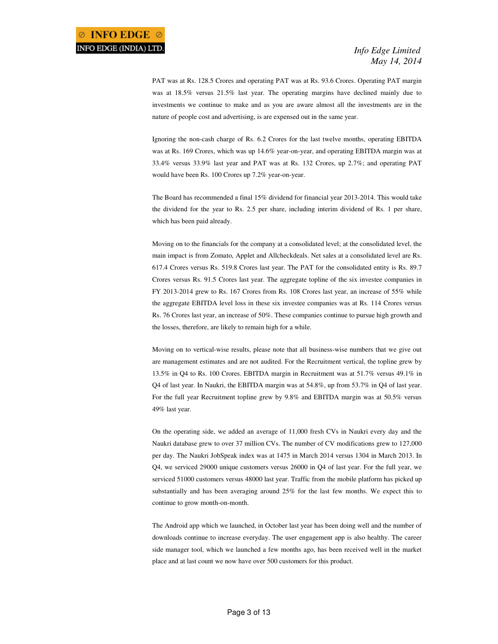PAT was at Rs. 128.5 Crores and operating PAT was at Rs. 93.6 Crores. Operating PAT margin was at 18.5% versus 21.5% last year. The operating margins have declined mainly due to investments we continue to make and as you are aware almost all the investments are in the nature of people cost and advertising, is are expensed out in the same year.

 Ignoring the non-cash charge of Rs. 6.2 Crores for the last twelve months, operating EBITDA was at Rs. 169 Crores, which was up 14.6% year-on-year, and operating EBITDA margin was at 33.4% versus 33.9% last year and PAT was at Rs. 132 Crores, up 2.7%; and operating PAT would have been Rs. 100 Crores up 7.2% year-on-year.

 The Board has recommended a final 15% dividend for financial year 2013-2014. This would take the dividend for the year to Rs. 2.5 per share, including interim dividend of Rs. 1 per share, which has been paid already.

 Moving on to the financials for the company at a consolidated level; at the consolidated level, the main impact is from Zomato, Applet and Allcheckdeals. Net sales at a consolidated level are Rs. 617.4 Crores versus Rs. 519.8 Crores last year. The PAT for the consolidated entity is Rs. 89.7 Crores versus Rs. 91.5 Crores last year. The aggregate topline of the six investee companies in FY 2013-2014 grew to Rs. 167 Crores from Rs. 108 Crores last year, an increase of 55% while the aggregate EBITDA level loss in these six investee companies was at Rs. 114 Crores versus Rs. 76 Crores last year, an increase of 50%. These companies continue to pursue high growth and the losses, therefore, are likely to remain high for a while.

 Moving on to vertical-wise results, please note that all business-wise numbers that we give out are management estimates and are not audited. For the Recruitment vertical, the topline grew by 13.5% in Q4 to Rs. 100 Crores. EBITDA margin in Recruitment was at 51.7% versus 49.1% in Q4 of last year. In Naukri, the EBITDA margin was at 54.8%, up from 53.7% in Q4 of last year. For the full year Recruitment topline grew by 9.8% and EBITDA margin was at 50.5% versus 49% last year.

 On the operating side, we added an average of 11,000 fresh CVs in Naukri every day and the Naukri database grew to over 37 million CVs. The number of CV modifications grew to 127,000 per day. The Naukri JobSpeak index was at 1475 in March 2014 versus 1304 in March 2013. In Q4, we serviced 29000 unique customers versus 26000 in Q4 of last year. For the full year, we serviced 51000 customers versus 48000 last year. Traffic from the mobile platform has picked up substantially and has been averaging around 25% for the last few months. We expect this to continue to grow month-on-month.

 The Android app which we launched, in October last year has been doing well and the number of downloads continue to increase everyday. The user engagement app is also healthy. The career side manager tool, which we launched a few months ago, has been received well in the market place and at last count we now have over 500 customers for this product.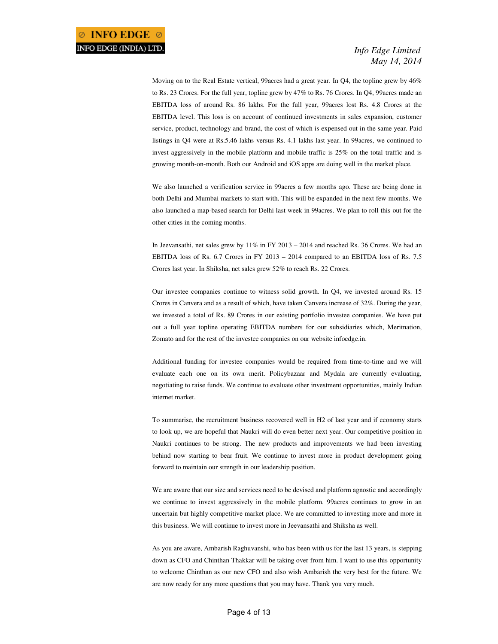Moving on to the Real Estate vertical, 99acres had a great year. In Q4, the topline grew by 46% to Rs. 23 Crores. For the full year, topline grew by 47% to Rs. 76 Crores. In Q4, 99acres made an EBITDA loss of around Rs. 86 lakhs. For the full year, 99acres lost Rs. 4.8 Crores at the EBITDA level. This loss is on account of continued investments in sales expansion, customer service, product, technology and brand, the cost of which is expensed out in the same year. Paid listings in Q4 were at Rs.5.46 lakhs versus Rs. 4.1 lakhs last year. In 99acres, we continued to invest aggressively in the mobile platform and mobile traffic is 25% on the total traffic and is growing month-on-month. Both our Android and iOS apps are doing well in the market place.

 We also launched a verification service in 99acres a few months ago. These are being done in both Delhi and Mumbai markets to start with. This will be expanded in the next few months. We also launched a map-based search for Delhi last week in 99acres. We plan to roll this out for the other cities in the coming months.

 In Jeevansathi, net sales grew by 11% in FY 2013 – 2014 and reached Rs. 36 Crores. We had an EBITDA loss of Rs. 6.7 Crores in FY 2013 – 2014 compared to an EBITDA loss of Rs. 7.5 Crores last year. In Shiksha, net sales grew 52% to reach Rs. 22 Crores.

 Our investee companies continue to witness solid growth. In Q4, we invested around Rs. 15 Crores in Canvera and as a result of which, have taken Canvera increase of 32%. During the year, we invested a total of Rs. 89 Crores in our existing portfolio investee companies. We have put out a full year topline operating EBITDA numbers for our subsidiaries which, Meritnation, Zomato and for the rest of the investee companies on our website infoedge.in.

 Additional funding for investee companies would be required from time-to-time and we will evaluate each one on its own merit. Policybazaar and Mydala are currently evaluating, negotiating to raise funds. We continue to evaluate other investment opportunities, mainly Indian internet market.

 To summarise, the recruitment business recovered well in H2 of last year and if economy starts to look up, we are hopeful that Naukri will do even better next year. Our competitive position in Naukri continues to be strong. The new products and improvements we had been investing behind now starting to bear fruit. We continue to invest more in product development going forward to maintain our strength in our leadership position.

 We are aware that our size and services need to be devised and platform agnostic and accordingly we continue to invest aggressively in the mobile platform. 99acres continues to grow in an uncertain but highly competitive market place. We are committed to investing more and more in this business. We will continue to invest more in Jeevansathi and Shiksha as well.

 As you are aware, Ambarish Raghuvanshi, who has been with us for the last 13 years, is stepping down as CFO and Chinthan Thakkar will be taking over from him. I want to use this opportunity to welcome Chinthan as our new CFO and also wish Ambarish the very best for the future. We are now ready for any more questions that you may have. Thank you very much.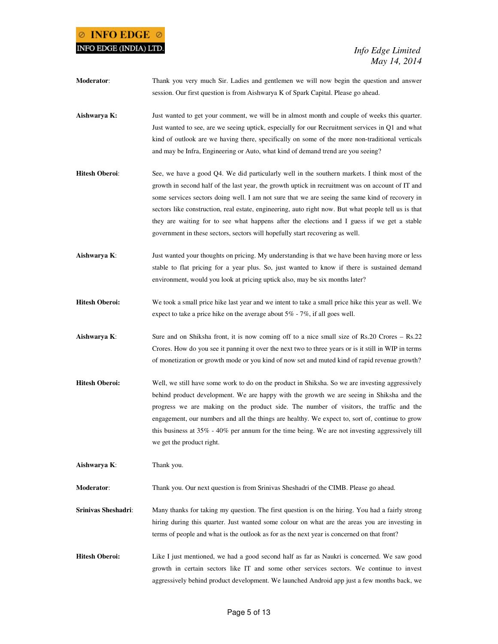## **INFO EDGE**  $\oslash$ INFO EDGE (INDIA) LTD.

 *Info Edge Limited May 14, 2014* 

**Moderator**: Thank you very much Sir. Ladies and gentlemen we will now begin the question and answer session. Our first question is from Aishwarya K of Spark Capital. Please go ahead. **Aishwarya K:** Just wanted to get your comment, we will be in almost month and couple of weeks this quarter. Just wanted to see, are we seeing uptick, especially for our Recruitment services in Q1 and what kind of outlook are we having there, specifically on some of the more non-traditional verticals and may be Infra, Engineering or Auto, what kind of demand trend are you seeing? **Hitesh Oberoi**: See, we have a good Q4. We did particularly well in the southern markets. I think most of the growth in second half of the last year, the growth uptick in recruitment was on account of IT and some services sectors doing well. I am not sure that we are seeing the same kind of recovery in sectors like construction, real estate, engineering, auto right now. But what people tell us is that they are waiting for to see what happens after the elections and I guess if we get a stable government in these sectors, sectors will hopefully start recovering as well. **Aishwarya K**: Just wanted your thoughts on pricing. My understanding is that we have been having more or less stable to flat pricing for a year plus. So, just wanted to know if there is sustained demand environment, would you look at pricing uptick also, may be six months later? **Hitesh Oberoi:** We took a small price hike last year and we intent to take a small price hike this year as well. We expect to take a price hike on the average about 5% - 7%, if all goes well. **Aishwarya K:** Sure and on Shiksha front, it is now coming off to a nice small size of Rs.20 Crores – Rs.22 Crores. How do you see it panning it over the next two to three years or is it still in WIP in terms of monetization or growth mode or you kind of now set and muted kind of rapid revenue growth? **Hitesh Oberoi:** Well, we still have some work to do on the product in Shiksha. So we are investing aggressively behind product development. We are happy with the growth we are seeing in Shiksha and the progress we are making on the product side. The number of visitors, the traffic and the engagement, our numbers and all the things are healthy. We expect to, sort of, continue to grow this business at 35% - 40% per annum for the time being. We are not investing aggressively till we get the product right. **Aishwarya K**: Thank you.

**Moderator**: Thank you. Our next question is from Srinivas Sheshadri of the CIMB. Please go ahead.

**Srinivas Sheshadri:** Many thanks for taking my question. The first question is on the hiring. You had a fairly strong hiring during this quarter. Just wanted some colour on what are the areas you are investing in terms of people and what is the outlook as for as the next year is concerned on that front?

**Hitesh Oberoi:** Like I just mentioned, we had a good second half as far as Naukri is concerned. We saw good growth in certain sectors like IT and some other services sectors. We continue to invest aggressively behind product development. We launched Android app just a few months back, we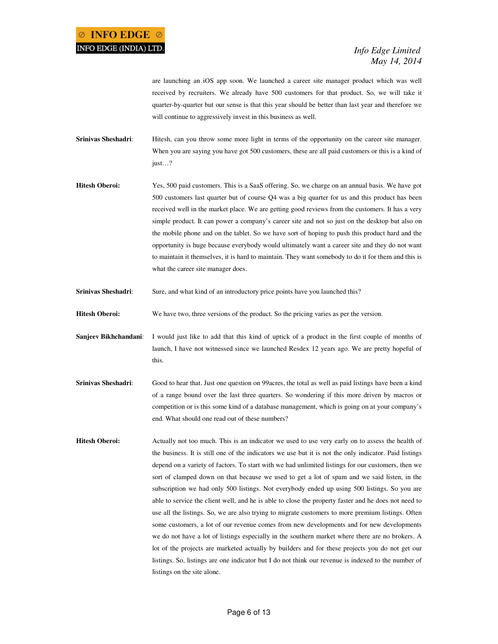are launching an iOS app soon. We launched a career site manager product which was well received by recruiters. We already have 500 customers for that product. So, we will take it quarter-by-quarter but our sense is that this year should be better than last year and therefore we will continue to aggressively invest in this business as well.

- **Srinivas Sheshadri:** Hitesh, can you throw some more light in terms of the opportunity on the career site manager. When you are saying you have got 500 customers, these are all paid customers or this is a kind of just…?
- **Hitesh Oberoi:** Yes, 500 paid customers. This is a SaaS offering. So, we charge on an annual basis. We have got 500 customers last quarter but of course Q4 was a big quarter for us and this product has been received well in the market place. We are getting good reviews from the customers. It has a very simple product. It can power a company's career site and not so just on the desktop but also on the mobile phone and on the tablet. So we have sort of hoping to push this product hard and the opportunity is huge because everybody would ultimately want a career site and they do not want to maintain it themselves, it is hard to maintain. They want somebody to do it for them and this is what the career site manager does.
- **Srinivas Sheshadri**: Sure, and what kind of an introductory price points have you launched this?
- **Hitesh Oberoi:** We have two, three versions of the product. So the pricing varies as per the version.
- **Sanjeev Bikhchandani**: I would just like to add that this kind of uptick of a product in the first couple of months of launch, I have not witnessed since we launched Resdex 12 years ago. We are pretty hopeful of this.
- **Srinivas Sheshadri**: Good to hear that. Just one question on 99acres, the total as well as paid listings have been a kind of a range bound over the last three quarters. So wondering if this more driven by macros or competition or is this some kind of a database management, which is going on at your company's end. What should one read out of these numbers?
- **Hitesh Oberoi:** Actually not too much. This is an indicator we used to use very early on to assess the health of the business. It is still one of the indicators we use but it is not the only indicator. Paid listings depend on a variety of factors. To start with we had unlimited listings for our customers, then we sort of clamped down on that because we used to get a lot of spam and we said listen, in the subscription we had only 500 listings. Not everybody ended up using 500 listings. So you are able to service the client well, and he is able to close the property faster and he does not need to use all the listings. So, we are also trying to migrate customers to more premium listings. Often some customers, a lot of our revenue comes from new developments and for new developments we do not have a lot of listings especially in the southern market where there are no brokers. A lot of the projects are marketed actually by builders and for these projects you do not get our listings. So, listings are one indicator but I do not think our revenue is indexed to the number of listings on the site alone.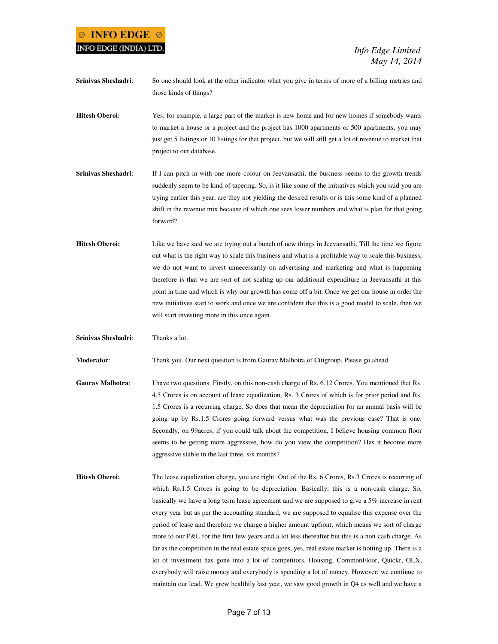## $\odot$  INFO EDGE  $\odot$ INFO EDGE (INDIA) LTD.

 *Info Edge Limited May 14, 2014* 

**Srinivas Sheshadri**: So one should look at the other indicator what you give in terms of more of a billing metrics and those kinds of things?

**Hitesh Oberoi:** Yes, for example, a large part of the market is new home and for new homes if somebody wants to market a house or a project and the project has 1000 apartments or 500 apartments, you may just get 5 listings or 10 listings for that project, but we will still get a lot of revenue to market that project to our database.

- **Srinivas Sheshadri:** If I can pitch in with one more colour on Jeevansathi, the business seems to the growth trends suddenly seem to be kind of tapering. So, is it like some of the initiatives which you said you are trying earlier this year, are they not yielding the desired results or is this some kind of a planned shift in the revenue mix because of which one sees lower numbers and what is plan for that going forward?
- **Hitesh Oberoi:** Like we have said we are trying out a bunch of new things in Jeevansathi. Till the time we figure out what is the right way to scale this business and what is a profitable way to scale this business, we do not want to invest unnecessarily on advertising and marketing and what is happening therefore is that we are sort of not scaling up our additional expenditure in Jeevansathi at this point in time and which is why our growth has come off a bit. Once we get our house in order the new initiatives start to work and once we are confident that this is a good model to scale, then we will start investing more in this once again.

**Srinivas Sheshadri**: Thanks a lot.

**Moderator**: Thank you. Our next question is from Gaurav Malhotra of Citigroup. Please go ahead.

- **Gaurav Malhotra**: I have two questions. Firstly, on this non-cash charge of Rs. 6.12 Crores. You mentioned that Rs. 4.5 Crores is on account of lease equalization, Rs. 3 Crores of which is for prior period and Rs. 1.5 Crores is a recurring charge. So does that mean the depreciation for an annual basis will be going up by Rs.1.5 Crores going forward versus what was the previous case? That is one. Secondly, on 99acres, if you could talk about the competition, I believe housing common floor seems to be getting more aggressive, how do you view the competition? Has it become more aggressive stable in the last three, six months?
- **Hitesh Oberoi:** The lease equalization charge, you are right. Out of the Rs. 6 Crores, Rs.3 Crores is recurring of which Rs.1.5 Crores is going to be depreciation. Basically, this is a non-cash charge. So, basically we have a long term lease agreement and we are supposed to give a 5% increase in rent every year but as per the accounting standard, we are supposed to equalise this expense over the period of lease and therefore we charge a higher amount upfront, which means we sort of charge more to our P&L for the first few years and a lot less thereafter but this is a non-cash charge. As far as the competition in the real estate space goes, yes, real estate market is hotting up. There is a lot of investment has gone into a lot of competitors, Housing, CommonFloor, Quickr, OLX, everybody will raise money and everybody is spending a lot of money. However; we continue to maintain our lead. We grew healthily last year, we saw good growth in Q4 as well and we have a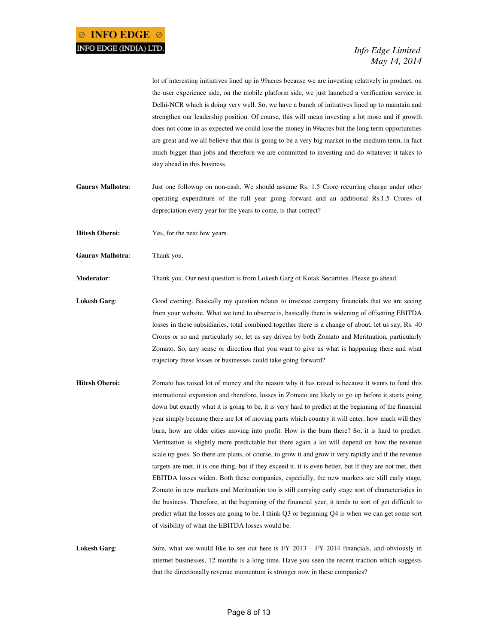lot of interesting initiatives lined up in 99acres because we are investing relatively in product, on the user experience side, on the mobile platform side, we just launched a verification service in Delhi-NCR which is doing very well. So, we have a bunch of initiatives lined up to maintain and strengthen our leadership position. Of course, this will mean investing a lot more and if growth does not come in as expected we could lose the money in 99acres but the long term opportunities are great and we all believe that this is going to be a very big market in the medium term, in fact much bigger than jobs and therefore we are committed to investing and do whatever it takes to stay ahead in this business.

- **Gaurav Malhotra**: Just one followup on non-cash. We should assume Rs. 1.5 Crore recurring charge under other operating expenditure of the full year going forward and an additional Rs.1.5 Crores of depreciation every year for the years to come, is that correct?
- **Hitesh Oberoi:** Yes, for the next few years.
- **Gaurav Malhotra**: Thank you.

**Moderator**: Thank you. Our next question is from Lokesh Garg of Kotak Securities. Please go ahead.

- **Lokesh Garg**: Good evening. Basically my question relates to investee company financials that we are seeing from your website. What we tend to observe is, basically there is widening of offsetting EBITDA losses in these subsidiaries, total combined together there is a change of about, let us say, Rs. 40 Crores or so and particularly so, let us say driven by both Zomato and Meritnation, particularly Zomato. So, any sense or direction that you want to give us what is happening there and what trajectory these losses or businesses could take going forward?
- **Hitesh Oberoi:** Zomato has raised lot of money and the reason why it has raised is because it wants to fund this international expansion and therefore, losses in Zomato are likely to go up before it starts going down but exactly what it is going to be, it is very hard to predict at the beginning of the financial year simply because there are lot of moving parts which country it will enter, how much will they burn, how are older cities moving into profit. How is the burn there? So, it is hard to predict. Meritnation is slightly more predictable but there again a lot will depend on how the revenue scale up goes. So there are plans, of course, to grow it and grow it very rapidly and if the revenue targets are met, it is one thing, but if they exceed it, it is even better, but if they are not met, then EBITDA losses widen. Both these companies, especially, the new markets are still early stage, Zomato in new markets and Meritnation too is still carrying early stage sort of characteristics in the business. Therefore, at the beginning of the financial year, it tends to sort of get difficult to predict what the losses are going to be. I think Q3 or beginning Q4 is when we can get some sort of visibility of what the EBITDA losses would be.

Lokesh Garg: Sure, what we would like to see out here is FY 2013 – FY 2014 financials, and obviously in internet businesses, 12 months is a long time. Have you seen the recent traction which suggests that the directionally revenue momentum is stronger now in these companies?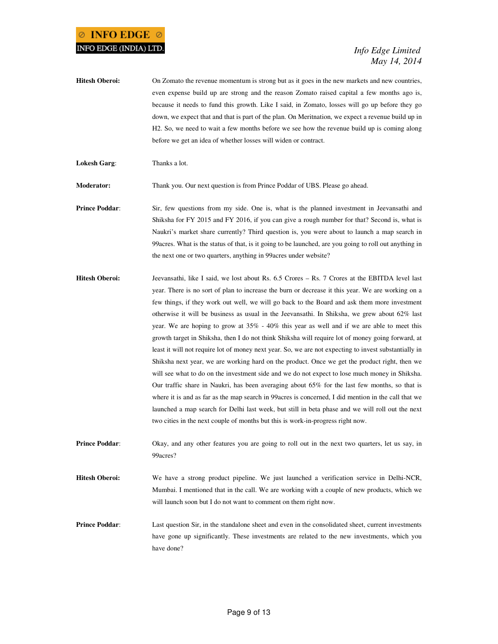- **Hitesh Oberoi:** On Zomato the revenue momentum is strong but as it goes in the new markets and new countries, even expense build up are strong and the reason Zomato raised capital a few months ago is, because it needs to fund this growth. Like I said, in Zomato, losses will go up before they go down, we expect that and that is part of the plan. On Meritnation, we expect a revenue build up in H2. So, we need to wait a few months before we see how the revenue build up is coming along before we get an idea of whether losses will widen or contract.
- **Lokesh Garg**: Thanks a lot.

**Moderator:** Thank you. Our next question is from Prince Poddar of UBS. Please go ahead.

- **Prince Poddar:** Sir, few questions from my side. One is, what is the planned investment in Jeevansathi and Shiksha for FY 2015 and FY 2016, if you can give a rough number for that? Second is, what is Naukri's market share currently? Third question is, you were about to launch a map search in 99acres. What is the status of that, is it going to be launched, are you going to roll out anything in the next one or two quarters, anything in 99acres under website?
- **Hitesh Oberoi:** Jeevansathi, like I said, we lost about Rs. 6.5 Crores Rs. 7 Crores at the EBITDA level last year. There is no sort of plan to increase the burn or decrease it this year. We are working on a few things, if they work out well, we will go back to the Board and ask them more investment otherwise it will be business as usual in the Jeevansathi. In Shiksha, we grew about 62% last year. We are hoping to grow at 35% - 40% this year as well and if we are able to meet this growth target in Shiksha, then I do not think Shiksha will require lot of money going forward, at least it will not require lot of money next year. So, we are not expecting to invest substantially in Shiksha next year, we are working hard on the product. Once we get the product right, then we will see what to do on the investment side and we do not expect to lose much money in Shiksha. Our traffic share in Naukri, has been averaging about 65% for the last few months, so that is where it is and as far as the map search in 99acres is concerned, I did mention in the call that we launched a map search for Delhi last week, but still in beta phase and we will roll out the next two cities in the next couple of months but this is work-in-progress right now.
- **Prince Poddar:** Okay, and any other features you are going to roll out in the next two quarters, let us say, in 99acres?
- **Hitesh Oberoi:** We have a strong product pipeline. We just launched a verification service in Delhi-NCR, Mumbai. I mentioned that in the call. We are working with a couple of new products, which we will launch soon but I do not want to comment on them right now.
- **Prince Poddar:** Last question Sir, in the standalone sheet and even in the consolidated sheet, current investments have gone up significantly. These investments are related to the new investments, which you have done?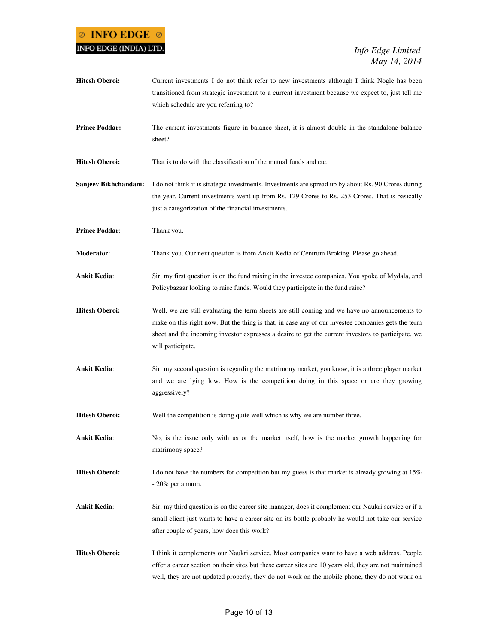

Hitesh Oberoi: Current investments I do not think refer to new investments although I think Nogle has been transitioned from strategic investment to a current investment because we expect to, just tell me which schedule are you referring to? **Prince Poddar:** The current investments figure in balance sheet, it is almost double in the standalone balance sheet? **Hitesh Oberoi:** That is to do with the classification of the mutual funds and etc. **Sanjeev Bikhchandani:** I do not think it is strategic investments. Investments are spread up by about Rs. 90 Crores during the year. Current investments went up from Rs. 129 Crores to Rs. 253 Crores. That is basically just a categorization of the financial investments. **Prince Poddar:** Thank you. **Moderator**: Thank you. Our next question is from Ankit Kedia of Centrum Broking. Please go ahead. **Ankit Kedia**: Sir, my first question is on the fund raising in the investee companies. You spoke of Mydala, and Policybazaar looking to raise funds. Would they participate in the fund raise? **Hitesh Oberoi:** Well, we are still evaluating the term sheets are still coming and we have no announcements to make on this right now. But the thing is that, in case any of our investee companies gets the term sheet and the incoming investor expresses a desire to get the current investors to participate, we will participate. **Ankit Kedia**: Sir, my second question is regarding the matrimony market, you know, it is a three player market and we are lying low. How is the competition doing in this space or are they growing aggressively? **Hitesh Oberoi:** Well the competition is doing quite well which is why we are number three. **Ankit Kedia**: No, is the issue only with us or the market itself, how is the market growth happening for matrimony space? **Hitesh Oberoi:** I do not have the numbers for competition but my guess is that market is already growing at 15% - 20% per annum. **Ankit Kedia**: Sir, my third question is on the career site manager, does it complement our Naukri service or if a small client just wants to have a career site on its bottle probably he would not take our service after couple of years, how does this work? **Hitesh Oberoi:** I think it complements our Naukri service. Most companies want to have a web address. People offer a career section on their sites but these career sites are 10 years old, they are not maintained

well, they are not updated properly, they do not work on the mobile phone, they do not work on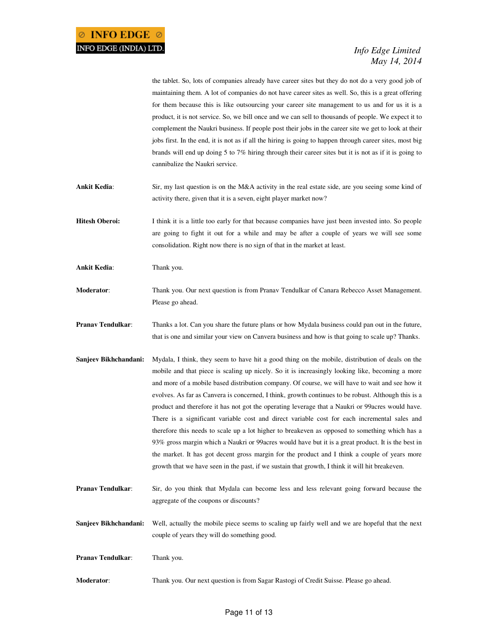the tablet. So, lots of companies already have career sites but they do not do a very good job of maintaining them. A lot of companies do not have career sites as well. So, this is a great offering for them because this is like outsourcing your career site management to us and for us it is a product, it is not service. So, we bill once and we can sell to thousands of people. We expect it to complement the Naukri business. If people post their jobs in the career site we get to look at their jobs first. In the end, it is not as if all the hiring is going to happen through career sites, most big brands will end up doing 5 to 7% hiring through their career sites but it is not as if it is going to cannibalize the Naukri service.

- **Ankit Kedia**: Sir, my last question is on the M&A activity in the real estate side, are you seeing some kind of activity there, given that it is a seven, eight player market now?
- **Hitesh Oberoi:** I think it is a little too early for that because companies have just been invested into. So people are going to fight it out for a while and may be after a couple of years we will see some consolidation. Right now there is no sign of that in the market at least.
- **Ankit Kedia**: Thank you.
- **Moderator**: Thank you. Our next question is from Pranav Tendulkar of Canara Rebecco Asset Management. Please go ahead.
- **Pranav Tendulkar**: Thanks a lot. Can you share the future plans or how Mydala business could pan out in the future, that is one and similar your view on Canvera business and how is that going to scale up? Thanks.
- **Sanjeev Bikhchandani:** Mydala, I think, they seem to have hit a good thing on the mobile, distribution of deals on the mobile and that piece is scaling up nicely. So it is increasingly looking like, becoming a more and more of a mobile based distribution company. Of course, we will have to wait and see how it evolves. As far as Canvera is concerned, I think, growth continues to be robust. Although this is a product and therefore it has not got the operating leverage that a Naukri or 99acres would have. There is a significant variable cost and direct variable cost for each incremental sales and therefore this needs to scale up a lot higher to breakeven as opposed to something which has a 93% gross margin which a Naukri or 99acres would have but it is a great product. It is the best in the market. It has got decent gross margin for the product and I think a couple of years more growth that we have seen in the past, if we sustain that growth, I think it will hit breakeven.
- **Pranav Tendulkar:** Sir, do you think that Mydala can become less and less relevant going forward because the aggregate of the coupons or discounts?
- **Sanjeev Bikhchandani:** Well, actually the mobile piece seems to scaling up fairly well and we are hopeful that the next couple of years they will do something good.

**Pranav Tendulkar**: Thank you.

**Moderator**: Thank you. Our next question is from Sagar Rastogi of Credit Suisse. Please go ahead.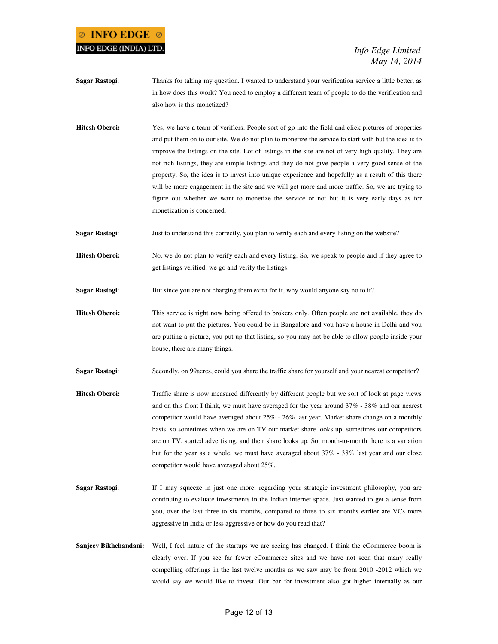## **INFO EDGE**  $\otimes$ INFO EDGE (INDIA) LTD.

 *Info Edge Limited May 14, 2014* 

- **Sagar Rastogi**: Thanks for taking my question. I wanted to understand your verification service a little better, as in how does this work? You need to employ a different team of people to do the verification and also how is this monetized?
- **Hitesh Oberoi:** Yes, we have a team of verifiers. People sort of go into the field and click pictures of properties and put them on to our site. We do not plan to monetize the service to start with but the idea is to improve the listings on the site. Lot of listings in the site are not of very high quality. They are not rich listings, they are simple listings and they do not give people a very good sense of the property. So, the idea is to invest into unique experience and hopefully as a result of this there will be more engagement in the site and we will get more and more traffic. So, we are trying to figure out whether we want to monetize the service or not but it is very early days as for monetization is concerned.
- **Sagar Rastogi**: Just to understand this correctly, you plan to verify each and every listing on the website?
- **Hitesh Oberoi:** No, we do not plan to verify each and every listing. So, we speak to people and if they agree to get listings verified, we go and verify the listings.
- **Sagar Rastogi:** But since you are not charging them extra for it, why would anyone say no to it?
- **Hitesh Oberoi:** This service is right now being offered to brokers only. Often people are not available, they do not want to put the pictures. You could be in Bangalore and you have a house in Delhi and you are putting a picture, you put up that listing, so you may not be able to allow people inside your house, there are many things.
- **Sagar Rastogi:** Secondly, on 99 acres, could you share the traffic share for yourself and your nearest competitor?
- **Hitesh Oberoi:** Traffic share is now measured differently by different people but we sort of look at page views and on this front I think, we must have averaged for the year around 37% - 38% and our nearest competitor would have averaged about 25% - 26% last year. Market share change on a monthly basis, so sometimes when we are on TV our market share looks up, sometimes our competitors are on TV, started advertising, and their share looks up. So, month-to-month there is a variation but for the year as a whole, we must have averaged about 37% - 38% last year and our close competitor would have averaged about 25%.
- **Sagar Rastogi:** If I may squeeze in just one more, regarding your strategic investment philosophy, you are continuing to evaluate investments in the Indian internet space. Just wanted to get a sense from you, over the last three to six months, compared to three to six months earlier are VCs more aggressive in India or less aggressive or how do you read that?
- Sanjeev Bikhchandani: Well, I feel nature of the startups we are seeing has changed. I think the eCommerce boom is clearly over. If you see far fewer eCommerce sites and we have not seen that many really compelling offerings in the last twelve months as we saw may be from 2010 -2012 which we would say we would like to invest. Our bar for investment also got higher internally as our